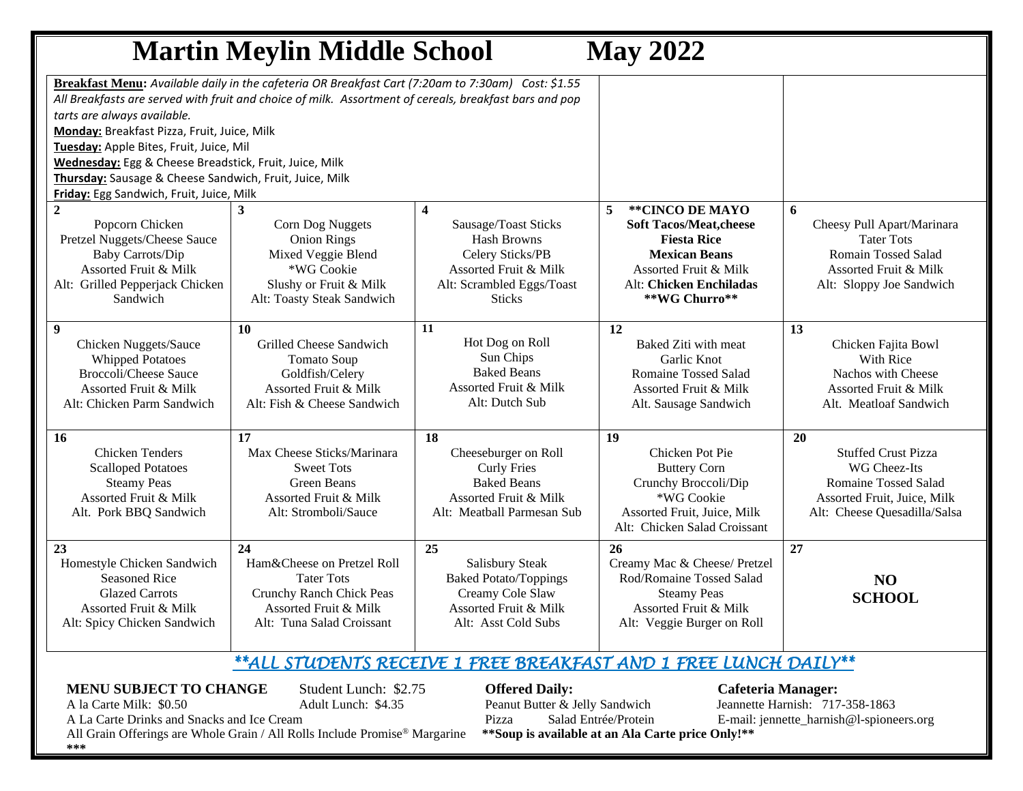## **Martin Meylin Middle School May 2022 Breakfast Menu:** *Available daily in the cafeteria OR Breakfast Cart (7:20am to 7:30am) Cost: \$1.55 All Breakfasts are served with fruit and choice of milk. Assortment of cereals, breakfast bars and pop tarts are always available.* **Monday:** Breakfast Pizza, Fruit, Juice, Milk **Tuesday:** Apple Bites, Fruit, Juice, Mil **Wednesday:** Egg & Cheese Breadstick, Fruit, Juice, Milk **Thursday:** Sausage & Cheese Sandwich, Fruit, Juice, Milk **Friday:** Egg Sandwich, Fruit, Juice, Milk **2** Popcorn Chicken Pretzel Nuggets/Cheese Sauce Baby Carrots/Dip Assorted Fruit & Milk Alt: Grilled Pepperjack Chicken Sandwich **3**  Corn Dog Nuggets Onion Rings Mixed Veggie Blend \*WG Cookie Slushy or Fruit & Milk Alt: Toasty Steak Sandwich **4**  Sausage/Toast Sticks Hash Browns Celery Sticks/PB Assorted Fruit & Milk Alt: Scrambled Eggs/Toast Sticks **5 \*\*CINCO DE MAYO Soft Tacos/Meat,cheese Fiesta Rice Mexican Beans** Assorted Fruit & Milk Alt: **Chicken Enchiladas \*\*WG Churro\*\* 6** Cheesy Pull Apart/Marinara Tater Tots Romain Tossed Salad Assorted Fruit & Milk Alt: Sloppy Joe Sandwich **9** Chicken Nuggets/Sauce  $\overline{\mathbf{P}}$ **10**  Grilled Cheese Sandwich  $T<sub>1</sub>$ **11**  Hot Dog on Roll  $\n **C**$ **12**  Baked Ziti with meat Garlic Knot **13** Chicken Fajita Bowl With Rice

| Whipped Potatoes             | Tomato Soup                  | Sun Unips                    | Garlic Knot                  | With Rice                    |
|------------------------------|------------------------------|------------------------------|------------------------------|------------------------------|
| <b>Broccoli/Cheese Sauce</b> | Goldfish/Celery              | <b>Baked Beans</b>           | Romaine Tossed Salad         | Nachos with Cheese           |
| Assorted Fruit & Milk        | Assorted Fruit & Milk        | Assorted Fruit & Milk        | Assorted Fruit & Milk        | Assorted Fruit & Milk        |
| Alt: Chicken Parm Sandwich   | Alt: Fish & Cheese Sandwich  | Alt: Dutch Sub               | Alt. Sausage Sandwich        | Alt. Meatloaf Sandwich       |
|                              |                              |                              |                              |                              |
| <b>16</b>                    | 17                           | 18                           | 19                           | 20                           |
| <b>Chicken Tenders</b>       | Max Cheese Sticks/Marinara   | Cheeseburger on Roll         | Chicken Pot Pie              | <b>Stuffed Crust Pizza</b>   |
| <b>Scalloped Potatoes</b>    | <b>Sweet Tots</b>            | <b>Curly Fries</b>           | <b>Buttery Corn</b>          | WG Cheez-Its                 |
| <b>Steamy Peas</b>           | Green Beans                  | <b>Baked Beans</b>           | Crunchy Broccoli/Dip         | <b>Romaine Tossed Salad</b>  |
| Assorted Fruit & Milk        | Assorted Fruit & Milk        | Assorted Fruit & Milk        | *WG Cookie                   | Assorted Fruit, Juice, Milk  |
| Alt. Pork BBQ Sandwich       | Alt: Stromboli/Sauce         | Alt: Meatball Parmesan Sub   | Assorted Fruit, Juice, Milk  | Alt: Cheese Quesadilla/Salsa |
|                              |                              |                              | Alt: Chicken Salad Croissant |                              |
|                              |                              |                              |                              |                              |
| 23                           | 24                           | 25                           | 26                           | 27                           |
| Homestyle Chicken Sandwich   | Ham & Cheese on Pretzel Roll | Salisbury Steak              | Creamy Mac & Cheese/ Pretzel |                              |
| <b>Seasoned Rice</b>         | <b>Tater Tots</b>            | <b>Baked Potato/Toppings</b> | Rod/Romaine Tossed Salad     | <b>NO</b>                    |
| <b>Glazed Carrots</b>        | Crunchy Ranch Chick Peas     | Creamy Cole Slaw             | <b>Steamy Peas</b>           | <b>SCHOOL</b>                |
| Assorted Fruit & Milk        | Assorted Fruit & Milk        | Assorted Fruit & Milk        | Assorted Fruit & Milk        |                              |
| Alt: Spicy Chicken Sandwich  | Alt: Tuna Salad Croissant    | Alt: Asst Cold Subs          | Alt: Veggie Burger on Roll   |                              |
|                              |                              |                              |                              |                              |
|                              |                              |                              |                              |                              |

## *\*\*ALL STUDENTS RECEIVE 1 FREE BREAKFAST AND 1 FREE LUNCH DAILY\*\**

## **MENU SUBJECT TO CHANGE** Student Lunch: \$2.75 **Offered Daily:** Cafeteria Manager:

A la Carte Milk: \$0.50 Adult Lunch: \$4.35 Peanut Butter & Jelly Sandwich Jeannette Harnish: 717-358-1863 A La Carte Drinks and Snacks and Ice Cream Pizza Pizza Salad Entrée/Protein E-mail: jennette\_harnish@l-spioneers.org

All Grain Offerings are Whole Grain / All Rolls Include Promise® Margarine **\*\*Soup is available at an Ala Carte price Only!\*\* \*\*\***